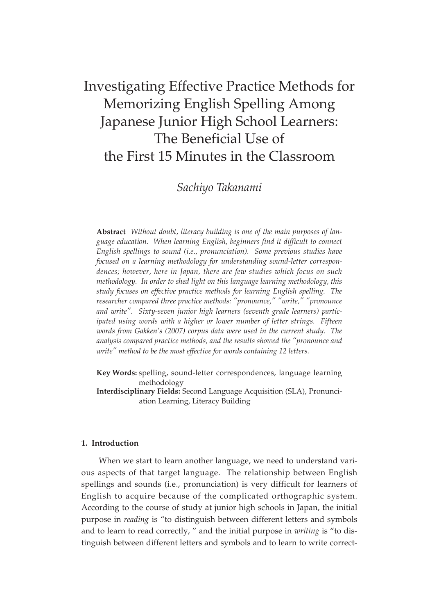# Investigating Effective Practice Methods for Memorizing English Spelling Among Japanese Junior High School Learners: The Beneficial Use of the First 15 Minutes in the Classroom

## *Sachiyo Takanami*

**Abstract** *Without doubt, literacy building is one of the main purposes of language education. When learning English, beginners find it difficult to connect English spellings to sound (i.e., pronunciation). Some previous studies have focused on a learning methodology for understanding sound-letter correspondences; however, here in Japan, there are few studies which focus on such methodology. In order to shed light on this language learning methodology, this study focuses on effective practice methods for learning English spelling. The researcher compared three practice methods: "pronounce," "write," "pronounce and write". Sixty-seven junior high learners (seventh grade learners) participated using words with a higher or lower number of letter strings. Fifteen words from Gakken's (2007) corpus data were used in the current study. The analysis compared practice methods, and the results showed the "pronounce and write" method to be the most effective for words containing 12 letters.*

- **Key Words:** spelling, sound-letter correspondences, language learning methodology
- **Interdisciplinary Fields:** Second Language Acquisition (SLA), Pronunciation Learning, Literacy Building

## **1. Introduction**

When we start to learn another language, we need to understand various aspects of that target language. The relationship between English spellings and sounds (i.e., pronunciation) is very difficult for learners of English to acquire because of the complicated orthographic system. According to the course of study at junior high schools in Japan, the initial purpose in *reading* is "to distinguish between different letters and symbols and to learn to read correctly, " and the initial purpose in *writing* is "to distinguish between different letters and symbols and to learn to write correct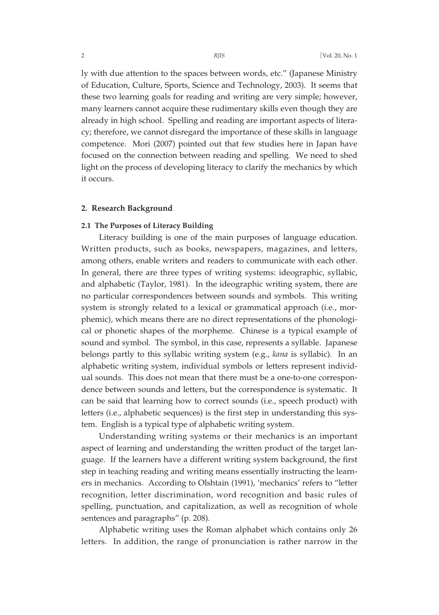ly with due attention to the spaces between words, etc." (Japanese Ministry of Education, Culture, Sports, Science and Technology, 2003). It seems that these two learning goals for reading and writing are very simple; however, many learners cannot acquire these rudimentary skills even though they are already in high school. Spelling and reading are important aspects of literacy; therefore, we cannot disregard the importance of these skills in language competence. Mori (2007) pointed out that few studies here in Japan have focused on the connection between reading and spelling. We need to shed light on the process of developing literacy to clarify the mechanics by which it occurs.

## **2. Research Background**

## **2.1 The Purposes of Literacy Building**

Literacy building is one of the main purposes of language education. Written products, such as books, newspapers, magazines, and letters, among others, enable writers and readers to communicate with each other. In general, there are three types of writing systems: ideographic, syllabic, and alphabetic (Taylor, 1981). In the ideographic writing system, there are no particular correspondences between sounds and symbols. This writing system is strongly related to a lexical or grammatical approach (i.e., morphemic), which means there are no direct representations of the phonological or phonetic shapes of the morpheme. Chinese is a typical example of sound and symbol. The symbol, in this case, represents a syllable. Japanese belongs partly to this syllabic writing system (e.g., *kana* is syllabic). In an alphabetic writing system, individual symbols or letters represent individual sounds. This does not mean that there must be a one-to-one correspondence between sounds and letters, but the correspondence is systematic. It can be said that learning how to correct sounds (i.e., speech product) with letters (i.e., alphabetic sequences) is the first step in understanding this system. English is a typical type of alphabetic writing system.

Understanding writing systems or their mechanics is an important aspect of learning and understanding the written product of the target language. If the learners have a different writing system background, the first step in teaching reading and writing means essentially instructing the learners in mechanics. According to Olshtain (1991), 'mechanics' refers to "letter recognition, letter discrimination, word recognition and basic rules of spelling, punctuation, and capitalization, as well as recognition of whole sentences and paragraphs" (p. 208).

Alphabetic writing uses the Roman alphabet which contains only 26 letters. In addition, the range of pronunciation is rather narrow in the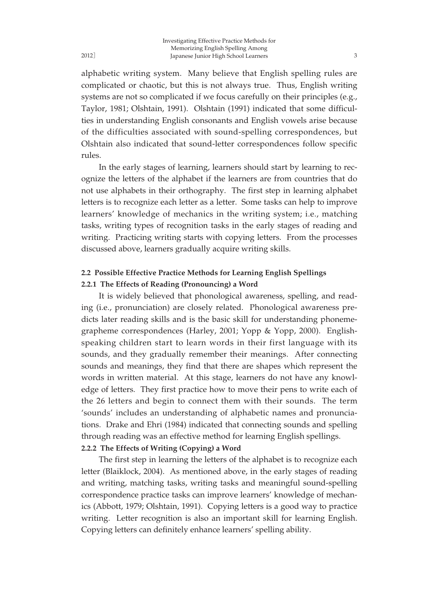alphabetic writing system. Many believe that English spelling rules are complicated or chaotic, but this is not always true. Thus, English writing systems are not so complicated if we focus carefully on their principles (e.g., Taylor, 1981; Olshtain, 1991). Olshtain (1991) indicated that some difficulties in understanding English consonants and English vowels arise because of the difficulties associated with sound-spelling correspondences, but Olshtain also indicated that sound-letter correspondences follow specific rules.

In the early stages of learning, learners should start by learning to recognize the letters of the alphabet if the learners are from countries that do not use alphabets in their orthography. The first step in learning alphabet letters is to recognize each letter as a letter. Some tasks can help to improve learners' knowledge of mechanics in the writing system; i.e., matching tasks, writing types of recognition tasks in the early stages of reading and writing. Practicing writing starts with copying letters. From the processes discussed above, learners gradually acquire writing skills.

## **2.2 Possible Effective Practice Methods for Learning English Spellings**

## **2.2.1 The Effects of Reading (Pronouncing) a Word**

It is widely believed that phonological awareness, spelling, and reading (i.e., pronunciation) are closely related. Phonological awareness predicts later reading skills and is the basic skill for understanding phonemegrapheme correspondences (Harley, 2001; Yopp & Yopp, 2000). Englishspeaking children start to learn words in their first language with its sounds, and they gradually remember their meanings. After connecting sounds and meanings, they find that there are shapes which represent the words in written material. At this stage, learners do not have any knowledge of letters. They first practice how to move their pens to write each of the 26 letters and begin to connect them with their sounds. The term 'sounds' includes an understanding of alphabetic names and pronunciations. Drake and Ehri (1984) indicated that connecting sounds and spelling through reading was an effective method for learning English spellings. **2.2.2 The Effects of Writing (Copying) a Word**

The first step in learning the letters of the alphabet is to recognize each letter (Blaiklock, 2004). As mentioned above, in the early stages of reading and writing, matching tasks, writing tasks and meaningful sound-spelling correspondence practice tasks can improve learners' knowledge of mechanics (Abbott, 1979; Olshtain, 1991). Copying letters is a good way to practice writing. Letter recognition is also an important skill for learning English. Copying letters can definitely enhance learners' spelling ability.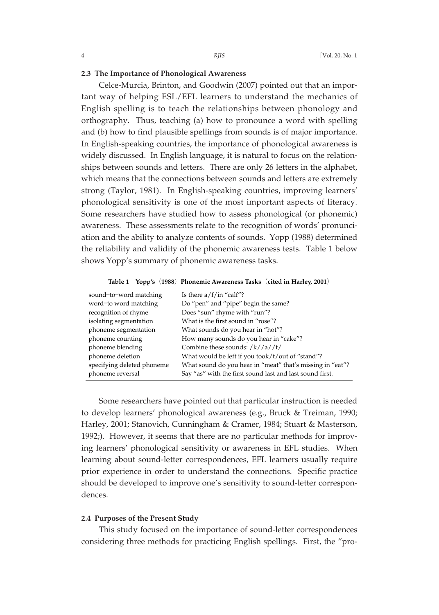## **2.3 The Importance of Phonological Awareness**

Celce-Murcia, Brinton, and Goodwin (2007) pointed out that an important way of helping ESL/EFL learners to understand the mechanics of English spelling is to teach the relationships between phonology and orthography. Thus, teaching (a) how to pronounce a word with spelling and (b) how to find plausible spellings from sounds is of major importance. In English-speaking countries, the importance of phonological awareness is widely discussed. In English language, it is natural to focus on the relationships between sounds and letters. There are only 26 letters in the alphabet, which means that the connections between sounds and letters are extremely strong (Taylor, 1981). In English-speaking countries, improving learners' phonological sensitivity is one of the most important aspects of literacy. Some researchers have studied how to assess phonological (or phonemic) awareness. These assessments relate to the recognition of words' pronunciation and the ability to analyze contents of sounds. Yopp (1988) determined the reliability and validity of the phonemic awareness tests. Table 1 below shows Yopp's summary of phonemic awareness tasks.

| sound-to-word matching     | Is there $a/f/in$ "calf"?                                 |
|----------------------------|-----------------------------------------------------------|
| word-to word matching      | Do "pen" and "pipe" begin the same?                       |
| recognition of rhyme       | Does "sun" rhyme with "run"?                              |
| isolating segmentation     | What is the first sound in "rose"?                        |
| phoneme segmentation       | What sounds do you hear in "hot"?                         |
| phoneme counting           | How many sounds do you hear in "cake"?                    |
| phoneme blending           | Combine these sounds: $/k//a//t/$                         |
| phoneme deletion           | What would be left if you took/t/out of "stand"?          |
| specifying deleted phoneme | What sound do you hear in "meat" that's missing in "eat"? |
| phoneme reversal           | Say "as" with the first sound last and last sound first.  |

**Table 1 Yopp's**(**1988**)**Phonemic Awareness Tasks**(**cited in Harley, 2001**)

Some researchers have pointed out that particular instruction is needed to develop learners' phonological awareness (e.g., Bruck & Treiman, 1990; Harley, 2001; Stanovich, Cunningham & Cramer, 1984; Stuart & Masterson, 1992;). However, it seems that there are no particular methods for improving learners' phonological sensitivity or awareness in EFL studies. When learning about sound-letter correspondences, EFL learners usually require prior experience in order to understand the connections. Specific practice should be developed to improve one's sensitivity to sound-letter correspondences.

#### **2.4 Purposes of the Present Study**

This study focused on the importance of sound-letter correspondences considering three methods for practicing English spellings. First, the "pro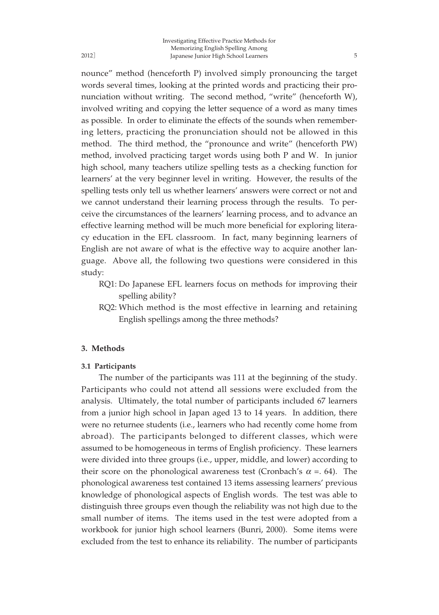nounce" method (henceforth P) involved simply pronouncing the target words several times, looking at the printed words and practicing their pronunciation without writing. The second method, "write" (henceforth W), involved writing and copying the letter sequence of a word as many times as possible. In order to eliminate the effects of the sounds when remembering letters, practicing the pronunciation should not be allowed in this method. The third method, the "pronounce and write" (henceforth PW) method, involved practicing target words using both P and W. In junior high school, many teachers utilize spelling tests as a checking function for learners' at the very beginner level in writing. However, the results of the spelling tests only tell us whether learners' answers were correct or not and we cannot understand their learning process through the results. To perceive the circumstances of the learners' learning process, and to advance an effective learning method will be much more beneficial for exploring literacy education in the EFL classroom. In fact, many beginning learners of English are not aware of what is the effective way to acquire another language. Above all, the following two questions were considered in this study:

- RQ1: Do Japanese EFL learners focus on methods for improving their spelling ability?
- RQ2: Which method is the most effective in learning and retaining English spellings among the three methods?

## **3. Methods**

#### **3.1 Participants**

The number of the participants was 111 at the beginning of the study. Participants who could not attend all sessions were excluded from the analysis. Ultimately, the total number of participants included 67 learners from a junior high school in Japan aged 13 to 14 years. In addition, there were no returnee students (i.e., learners who had recently come home from abroad). The participants belonged to different classes, which were assumed to be homogeneous in terms of English proficiency. These learners were divided into three groups (i.e., upper, middle, and lower) according to their score on the phonological awareness test (Cronbach's  $\alpha$  = . 64). The phonological awareness test contained 13 items assessing learners' previous knowledge of phonological aspects of English words. The test was able to distinguish three groups even though the reliability was not high due to the small number of items. The items used in the test were adopted from a workbook for junior high school learners (Bunri, 2000). Some items were excluded from the test to enhance its reliability. The number of participants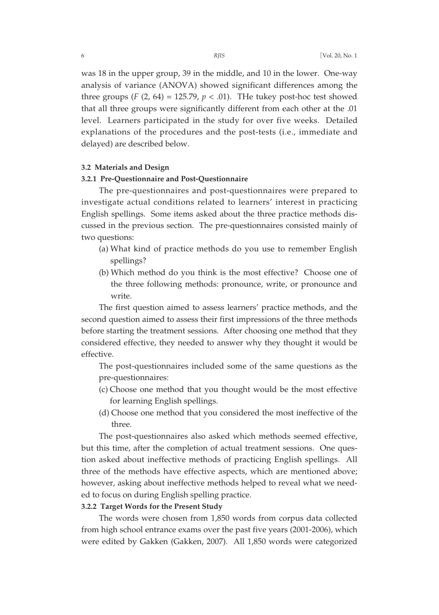was 18 in the upper group, 39 in the middle, and 10 in the lower. One-way analysis of variance (ANOVA) showed significant differences among the three groups  $(F(2, 64) = 125.79, p < .01)$ . The tukey post-hoc test showed that all three groups were significantly different from each other at the .01 level. Learners participated in the study for over five weeks. Detailed explanations of the procedures and the post-tests (i.e., immediate and delayed) are described below.

#### **3.2 Materials and Design**

## **3.2.1 Pre-Questionnaire and Post-Questionnaire**

The pre-questionnaires and post-questionnaires were prepared to investigate actual conditions related to learners' interest in practicing English spellings. Some items asked about the three practice methods discussed in the previous section. The pre-questionnaires consisted mainly of two questions:

- (a) What kind of practice methods do you use to remember English spellings?
- (b) Which method do you think is the most effective? Choose one of the three following methods: pronounce, write, or pronounce and write.

The first question aimed to assess learners' practice methods, and the second question aimed to assess their first impressions of the three methods before starting the treatment sessions. After choosing one method that they considered effective, they needed to answer why they thought it would be effective.

The post-questionnaires included some of the same questions as the pre-questionnaires:

- (c) Choose one method that you thought would be the most effective for learning English spellings.
- (d) Choose one method that you considered the most ineffective of the three.

The post-questionnaires also asked which methods seemed effective, but this time, after the completion of actual treatment sessions. One question asked about ineffective methods of practicing English spellings. All three of the methods have effective aspects, which are mentioned above; however, asking about ineffective methods helped to reveal what we needed to focus on during English spelling practice.

#### **3.2.2 Target Words for the Present Study**

The words were chosen from 1,850 words from corpus data collected from high school entrance exams over the past five years (2001-2006), which were edited by Gakken (Gakken, 2007). All 1,850 words were categorized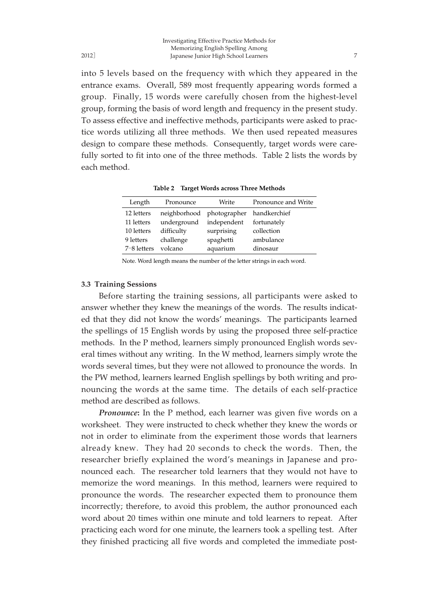into 5 levels based on the frequency with which they appeared in the entrance exams. Overall, 589 most frequently appearing words formed a group. Finally, 15 words were carefully chosen from the highest-level group, forming the basis of word length and frequency in the present study. To assess effective and ineffective methods, participants were asked to practice words utilizing all three methods. We then used repeated measures design to compare these methods. Consequently, target words were carefully sorted to fit into one of the three methods. Table 2 lists the words by each method.

| Length          | Pronounce                 | Write       | Pronounce and Write |
|-----------------|---------------------------|-------------|---------------------|
| 12 letters      | neighborhood photographer |             | handkerchief        |
| 11 letters      | underground               | independent | fortunately         |
| 10 letters      | difficulty                | surprising  | collection          |
| 9 letters       | challenge                 | spaghetti   | ambulance           |
| $7 - 8$ letters | volcano                   | aquarium    | dinosaur            |

**Table 2 Target Words across Three Methods**

Note. Word length means the number of the letter strings in each word.

#### **3.3 Training Sessions**

Before starting the training sessions, all participants were asked to answer whether they knew the meanings of the words. The results indicated that they did not know the words' meanings. The participants learned the spellings of 15 English words by using the proposed three self-practice methods. In the P method, learners simply pronounced English words several times without any writing. In the W method, learners simply wrote the words several times, but they were not allowed to pronounce the words. In the PW method, learners learned English spellings by both writing and pronouncing the words at the same time. The details of each self-practice method are described as follows.

*Pronounce***:** In the P method, each learner was given five words on a worksheet. They were instructed to check whether they knew the words or not in order to eliminate from the experiment those words that learners already knew. They had 20 seconds to check the words. Then, the researcher briefly explained the word's meanings in Japanese and pronounced each. The researcher told learners that they would not have to memorize the word meanings. In this method, learners were required to pronounce the words. The researcher expected them to pronounce them incorrectly; therefore, to avoid this problem, the author pronounced each word about 20 times within one minute and told learners to repeat. After practicing each word for one minute, the learners took a spelling test. After they finished practicing all five words and completed the immediate post-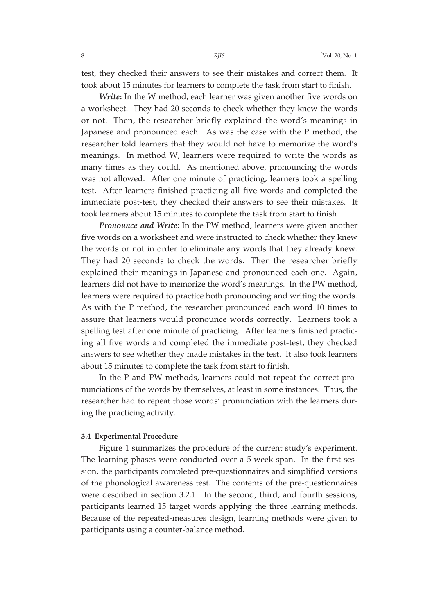test, they checked their answers to see their mistakes and correct them. It took about 15 minutes for learners to complete the task from start to finish.

*Write***:** In the W method, each learner was given another five words on a worksheet. They had 20 seconds to check whether they knew the words or not. Then, the researcher briefly explained the word's meanings in Japanese and pronounced each. As was the case with the P method, the researcher told learners that they would not have to memorize the word's meanings. In method W, learners were required to write the words as many times as they could. As mentioned above, pronouncing the words was not allowed. After one minute of practicing, learners took a spelling test. After learners finished practicing all five words and completed the immediate post-test, they checked their answers to see their mistakes. It took learners about 15 minutes to complete the task from start to finish.

*Pronounce and Write***:** In the PW method, learners were given another five words on a worksheet and were instructed to check whether they knew the words or not in order to eliminate any words that they already knew. They had 20 seconds to check the words. Then the researcher briefly explained their meanings in Japanese and pronounced each one. Again, learners did not have to memorize the word's meanings. In the PW method, learners were required to practice both pronouncing and writing the words. As with the P method, the researcher pronounced each word 10 times to assure that learners would pronounce words correctly. Learners took a spelling test after one minute of practicing. After learners finished practicing all five words and completed the immediate post-test, they checked answers to see whether they made mistakes in the test. It also took learners about 15 minutes to complete the task from start to finish.

In the P and PW methods, learners could not repeat the correct pronunciations of the words by themselves, at least in some instances. Thus, the researcher had to repeat those words' pronunciation with the learners during the practicing activity.

## **3.4 Experimental Procedure**

Figure 1 summarizes the procedure of the current study's experiment. The learning phases were conducted over a 5-week span. In the first session, the participants completed pre-questionnaires and simplified versions of the phonological awareness test. The contents of the pre-questionnaires were described in section 3.2.1. In the second, third, and fourth sessions, participants learned 15 target words applying the three learning methods. Because of the repeated-measures design, learning methods were given to participants using a counter-balance method.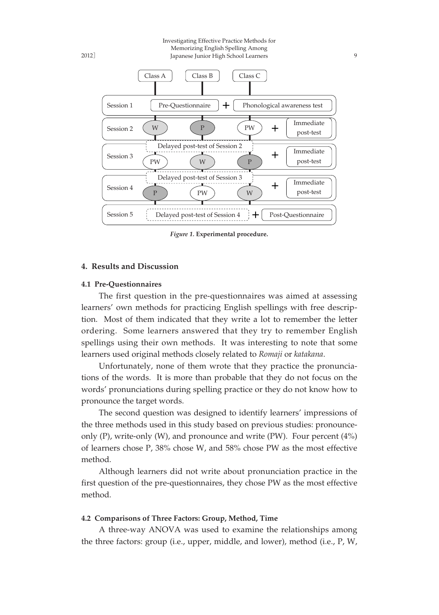Investigating Effective Practice Methods for Memorizing English Spelling Among Japanese Junior High School Learners 9



*Figure 1.* **Experimental procedure.**

## **4. Results and Discussion**

## **4.1 Pre-Questionnaires**

The first question in the pre-questionnaires was aimed at assessing learners' own methods for practicing English spellings with free description. Most of them indicated that they write a lot to remember the letter ordering. Some learners answered that they try to remember English spellings using their own methods. It was interesting to note that some learners used original methods closely related to *Romaji* or *katakana*.

Unfortunately, none of them wrote that they practice the pronunciations of the words. It is more than probable that they do not focus on the words' pronunciations during spelling practice or they do not know how to pronounce the target words.

The second question was designed to identify learners' impressions of the three methods used in this study based on previous studies: pronounceonly  $(P)$ , write-only  $(W)$ , and pronounce and write  $(PW)$ . Four percent  $(4\%)$ of learners chose P, 38% chose W, and 58% chose PW as the most effective method.

Although learners did not write about pronunciation practice in the first question of the pre-questionnaires, they chose PW as the most effective method.

## **4.2 Comparisons of Three Factors: Group, Method, Time**

A three-way ANOVA was used to examine the relationships among the three factors: group (i.e., upper, middle, and lower), method (i.e., P, W,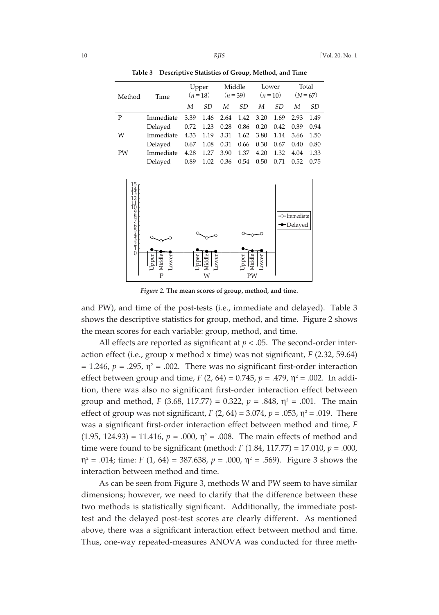| Method    | Time      | Upper<br>$(n=18)$ |      | Middle<br>$(n=39)$ |                     | Lower<br>$(n=10)$ |      | Total<br>$(N = 67)$ |      |
|-----------|-----------|-------------------|------|--------------------|---------------------|-------------------|------|---------------------|------|
|           |           | М                 | SD   | М                  | SD                  | M                 | SD   | М                   | SD   |
| P         | Immediate | 3.39              |      |                    | 1.46 2.64 1.42 3.20 |                   | 1.69 | 2.93                | 1.49 |
|           | Delayed   | 0.72              | 1.23 | 0.28               | 0.86                | 0.20              | 0.42 | 0.39                | 0.94 |
| W         | Immediate | 4.33              | 1.19 | 3.31               | 1.62                | 3.80              | 1.14 | 3.66                | 1.50 |
|           | Delaved   | 0.67              | 1.08 | 0.31               | 0.66                | 0.30              | 0.67 | 0.40                | 0.80 |
| <b>PW</b> | Immediate | 4.28              | 1.27 | 3.90               | 1.37                | 4.20              | 1.32 | 4.04                | 1.33 |
|           | Delayed   | 0.89              | 1.02 | 0.36 0.54          |                     | 0.50              | 0.71 | 0.52                | 0.75 |

**Table 3 Descriptive Statistics of Group, Method, and Time**



*Figure 2.* **The mean scores of group, method, and time.**

and PW), and time of the post-tests (i.e., immediate and delayed). Table 3 shows the descriptive statistics for group, method, and time. Figure 2 shows the mean scores for each variable: group, method, and time.

All effects are reported as significant at  $p < .05$ . The second-order interaction effect (i.e., group x method x time) was not significant, *F* (2.32, 59.64)  $= 1.246$ ,  $p = .295$ ,  $\eta^2 = .002$ . There was no significant first-order interaction effect between group and time,  $F(2, 64) = 0.745$ ,  $p = .479$ ,  $\eta^2 = .002$ . In addition, there was also no significant first-order interaction effect between group and method, *F* (3.68, 117.77) = 0.322,  $p = .848$ ,  $\eta^2 = .001$ . The main effect of group was not significant,  $F(2, 64) = 3.074$ ,  $p = .053$ ,  $\eta^2 = .019$ . There was a significant first-order interaction effect between method and time, *F*  $(1.95, 124.93) = 11.416$ ,  $p = .000$ ,  $\eta^2 = .008$ . The main effects of method and time were found to be significant (method: *F* (1.84, 117.77) = 17.010, *p* = .000,  $\eta^2$  = .014; time: *F* (1, 64) = 387.638, *p* = .000,  $\eta^2$  = .569). Figure 3 shows the interaction between method and time.

As can be seen from Figure 3, methods W and PW seem to have similar dimensions; however, we need to clarify that the difference between these two methods is statistically significant. Additionally, the immediate posttest and the delayed post-test scores are clearly different. As mentioned above, there was a significant interaction effect between method and time. Thus, one-way repeated-measures ANOVA was conducted for three meth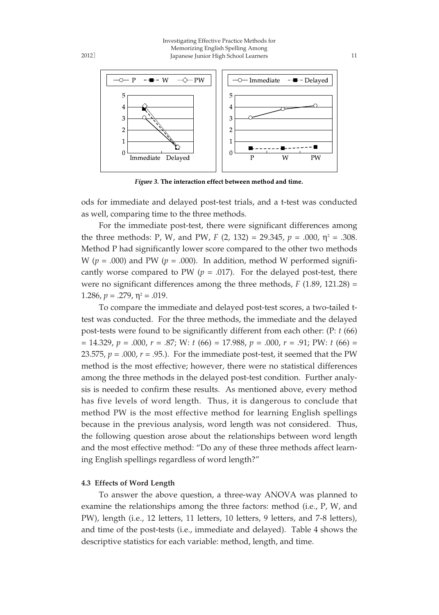Investigating Effective Practice Methods for Memorizing English Spelling Among Japanese Junior High School Learners 11



Figure 3. The interaction effect between method and time.

ods for immediate and delayed post-test trials, and a t-test was conducted as well, comparing time to the three methods.

For the immediate post-test, there were significant differences among the three methods: P, W, and PW, F  $(2, 132) = 29.345$ ,  $p = .000$ ,  $\eta^2 = .308$ . Method P had significantly lower score compared to the other two methods W ( $p = .000$ ) and PW ( $p = .000$ ). In addition, method W performed significantly worse compared to PW  $(p = .017)$ . For the delayed post-test, there were no significant differences among the three methods, *F* (1.89, 121.28) = 1.286,  $p = 0.279$ ,  $\eta^2 = 0.019$ .

To compare the immediate and delayed post-test scores, a two-tailed ttest was conducted. For the three methods, the immediate and the delayed post-tests were found to be significantly different from each other: (P: *t* (66) = 14.329, *p* = .000, *r* = .87; W: *t* (66) = 17.988, *p* = .000, *r* = .91; PW: *t* (66) = 23.575,  $p = .000$ ,  $r = .95$ .). For the immediate post-test, it seemed that the PW method is the most effective; however, there were no statistical differences among the three methods in the delayed post-test condition. Further analysis is needed to confirm these results. As mentioned above, every method has five levels of word length. Thus, it is dangerous to conclude that method PW is the most effective method for learning English spellings because in the previous analysis, word length was not considered. Thus, the following question arose about the relationships between word length and the most effective method: "Do any of these three methods affect learning English spellings regardless of word length?"

#### **4.3 Effects of Word Length**

To answer the above question, a three-way ANOVA was planned to examine the relationships among the three factors: method (i.e., P, W, and PW), length (i.e., 12 letters, 11 letters, 10 letters, 9 letters, and 7-8 letters), and time of the post-tests (i.e., immediate and delayed). Table 4 shows the descriptive statistics for each variable: method, length, and time.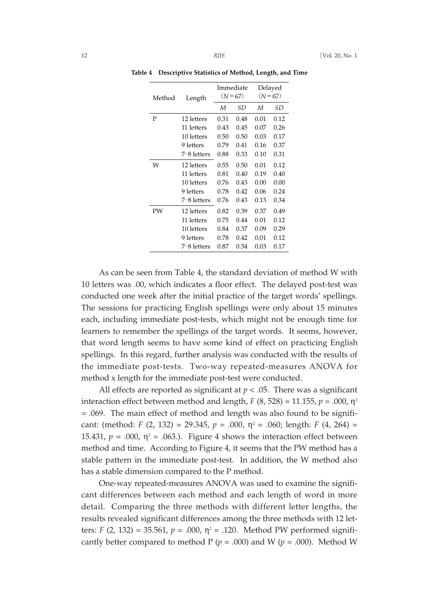| Method | Length      | Immediate<br>$(N=67)$ |      | Delayed<br>$(N = 67)$ |      |
|--------|-------------|-----------------------|------|-----------------------|------|
|        |             | М                     | SD   | М                     | SD   |
| P      | 12 letters  | 0.31                  | 0.48 | 0.01                  | 0.12 |
|        | 11 letters  | 0.43                  | 0.45 | 0.07                  | 0.26 |
|        | 10 letters  | 0.50                  | 0.50 | 0.03                  | 0.17 |
|        | 9 letters   | 0.79                  | 0.41 | 0.16                  | 0.37 |
|        | 7-8 letters | 0.88                  | 0.33 | 0.10                  | 0.31 |
| W      | 12 letters  | 0.55                  | 0.50 | 0.01                  | 0.12 |
|        | 11 letters  | 0.81                  | 0.40 | 0.19                  | 0.40 |
|        | 10 letters  | 0.76                  | 0.43 | 0.00                  | 0.00 |
|        | 9 letters   | 0.78                  | 0.42 | 0.06                  | 0.24 |
|        | 7-8 letters | 0.76                  | 0.43 | 0.13                  | 0.34 |
| PW     | 12 letters  | 0.82                  | 0.39 | 0.37                  | 0.49 |
|        | 11 letters  | 0.75                  | 0.44 | 0.01                  | 0.12 |
|        | 10 letters  | 0.84                  | 0.37 | 0.09                  | 0.29 |
|        | 9 letters   | 0.78                  | 0.42 | 0.01                  | 0.12 |
|        | 7–8 letters | 0.87                  | 0.34 | 0.03                  | 0.17 |

**Table 4 Descriptive Statistics of Method, Length, and Time**

As can be seen from Table 4, the standard deviation of method W with 10 letters was .00, which indicates a floor effect. The delayed post-test was conducted one week after the initial practice of the target words' spellings. The sessions for practicing English spellings were only about 15 minutes each, including immediate post-tests, which might not be enough time for learners to remember the spellings of the target words. It seems, however, that word length seems to have some kind of effect on practicing English spellings. In this regard, further analysis was conducted with the results of the immediate post-tests. Two-way repeated-measures ANOVA for method x length for the immediate post-test were conducted.

All effects are reported as significant at  $p < .05$ . There was a significant interaction effect between method and length,  $F(8, 528) = 11.155$ ,  $p = .000$ ,  $\eta^2$ = .069. The main effect of method and length was also found to be significant: (method: *F* (2, 132) = 29.345,  $p = .000$ ,  $\eta^2 = .060$ ; length: *F* (4, 264) = 15.431,  $p = .000$ ,  $\eta^2 = .063$ .). Figure 4 shows the interaction effect between method and time. According to Figure 4, it seems that the PW method has a stable pattern in the immediate post-test. In addition, the W method also has a stable dimension compared to the P method.

One-way repeated-measures ANOVA was used to examine the significant differences between each method and each length of word in more detail. Comparing the three methods with different letter lengths, the results revealed significant differences among the three methods with 12 letters: *F* (2, 132) = 35.561,  $p = .000$ ,  $\eta^2 = .120$ . Method PW performed significantly better compared to method  $P (p = .000)$  and  $W (p = .000)$ . Method W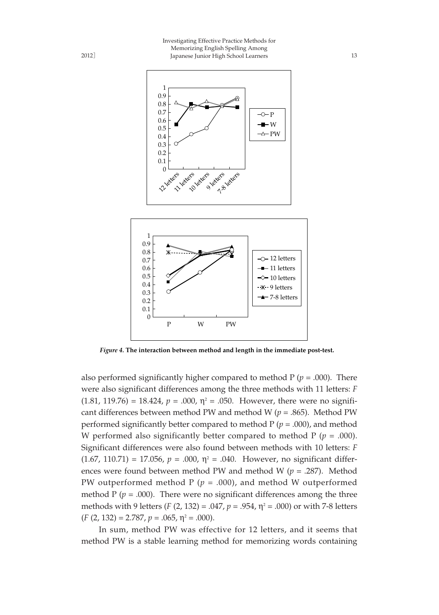



*Figure 4.* **The interaction between method and length in the immediate post-test.**

also performed significantly higher compared to method  $P(p = .000)$ . There were also significant differences among the three methods with 11 letters: *F* (1.81, 119.76) = 18.424,  $p = .000$ ,  $\eta^2 = .050$ . However, there were no significant differences between method PW and method W (*p* = .865). Method PW performed significantly better compared to method P (*p* = .000), and method W performed also significantly better compared to method  $P (p = .000)$ . Significant differences were also found between methods with 10 letters: *F*  $(1.67, 110.71) = 17.056$ ,  $p = .000$ ,  $\eta^2 = .040$ . However, no significant differences were found between method PW and method W (*p* = .287). Method PW outperformed method  $P(p = .000)$ , and method W outperformed method  $P$  ( $p = .000$ ). There were no significant differences among the three methods with 9 letters (*F* (2, 132) = .047,  $p = .954$ ,  $\eta^2 = .000$ ) or with 7-8 letters  $(F (2, 132) = 2.787, p = .065, \eta^2 = .000).$ 

In sum, method PW was effective for 12 letters, and it seems that method PW is a stable learning method for memorizing words containing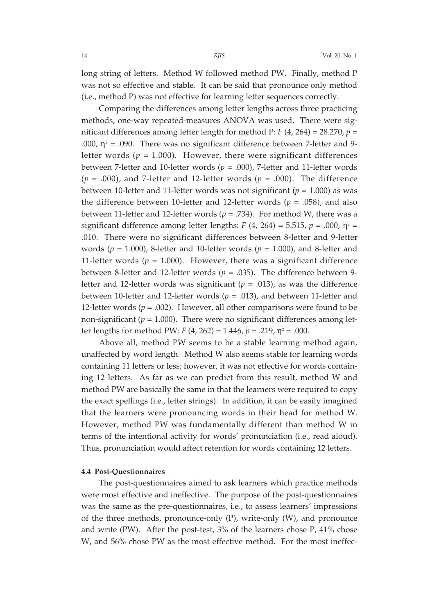long string of letters. Method W followed method PW. Finally, method P was not so effective and stable. It can be said that pronounce only method (i.e., method P) was not effective for learning letter sequences correctly.

Comparing the differences among letter lengths across three practicing methods, one-way repeated-measures ANOVA was used. There were significant differences among letter length for method P: *F* (4, 264) = 28.270, *p* = .000,  $\eta^2$  = .090. There was no significant difference between 7-letter and 9letter words  $(p = 1.000)$ . However, there were significant differences between 7-letter and 10-letter words ( $p = .000$ ), 7-letter and 11-letter words  $(p = .000)$ , and 7-letter and 12-letter words  $(p = .000)$ . The difference between 10-letter and 11-letter words was not significant ( $p = 1.000$ ) as was the difference between 10-letter and 12-letter words ( $p = .058$ ), and also between 11-letter and 12-letter words ( $p = .734$ ). For method W, there was a significant difference among letter lengths:  $F(4, 264) = 5.515$ ,  $p = .000$ ,  $\eta^2 =$ .010. There were no significant differences between 8-letter and 9-letter words (*p* = 1.000), 8-letter and 10-letter words (*p* = 1.000), and 8-letter and 11-letter words ( $p = 1.000$ ). However, there was a significant difference between 8-letter and 12-letter words ( $p = .035$ ). The difference between 9letter and 12-letter words was significant  $(p = .013)$ , as was the difference between 10-letter and 12-letter words ( $p = .013$ ), and between 11-letter and 12-letter words  $(p = .002)$ . However, all other comparisons were found to be non-significant ( $p = 1.000$ ). There were no significant differences among letter lengths for method PW:  $F(4, 262) = 1.446$ ,  $p = .219$ ,  $\eta^2 = .000$ .

Above all, method PW seems to be a stable learning method again, unaffected by word length. Method W also seems stable for learning words containing 11 letters or less; however, it was not effective for words containing 12 letters. As far as we can predict from this result, method W and method PW are basically the same in that the learners were required to copy the exact spellings (i.e., letter strings). In addition, it can be easily imagined that the learners were pronouncing words in their head for method W. However, method PW was fundamentally different than method W in terms of the intentional activity for words' pronunciation (i.e., read aloud). Thus, pronunciation would affect retention for words containing 12 letters.

#### **4.4 Post-Questionnaires**

The post-questionnaires aimed to ask learners which practice methods were most effective and ineffective. The purpose of the post-questionnaires was the same as the pre-questionnaires, i.e., to assess learners' impressions of the three methods, pronounce-only (P), write-only (W), and pronounce and write (PW). After the post-test,  $3\%$  of the learners chose P,  $41\%$  chose W, and 56% chose PW as the most effective method. For the most ineffec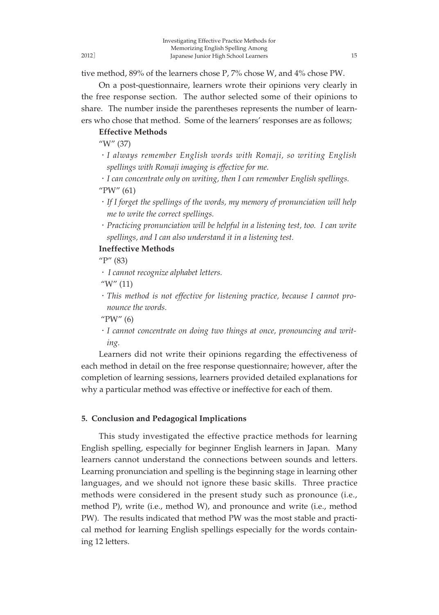2012]

tive method, 89% of the learners chose P, 7% chose W, and 4% chose PW.

On a post-questionnaire, learners wrote their opinions very clearly in the free response section. The author selected some of their opinions to share. The number inside the parentheses represents the number of learners who chose that method. Some of the learners' responses are as follows;

## **Effective Methods**

"W" (37)

・*I always remember English words with Romaji, so writing English spellings with Romaji imaging is effective for me.*

・*I can concentrate only on writing, then I can remember English spellings.* "PW" (61)

- ・*If I forget the spellings of the words, my memory of pronunciation will help me to write the correct spellings.*
- ・*Practicing pronunciation will be helpful in a listening test, too. I can write spellings, and I can also understand it in a listening test.*

## **Ineffective Methods**

 $\rm{''P''}$  (83)

・*I cannot recognize alphabet letters.*

" $W''(11)$ 

・*This method is not effective for listening practice, because I cannot pronounce the words.*

"PW" (6)

・*I cannot concentrate on doing two things at once, pronouncing and writing.*

Learners did not write their opinions regarding the effectiveness of each method in detail on the free response questionnaire; however, after the completion of learning sessions, learners provided detailed explanations for why a particular method was effective or ineffective for each of them.

## **5. Conclusion and Pedagogical Implications**

This study investigated the effective practice methods for learning English spelling, especially for beginner English learners in Japan. Many learners cannot understand the connections between sounds and letters. Learning pronunciation and spelling is the beginning stage in learning other languages, and we should not ignore these basic skills. Three practice methods were considered in the present study such as pronounce (i.e., method P), write (i.e., method W), and pronounce and write (i.e., method PW). The results indicated that method PW was the most stable and practical method for learning English spellings especially for the words containing 12 letters.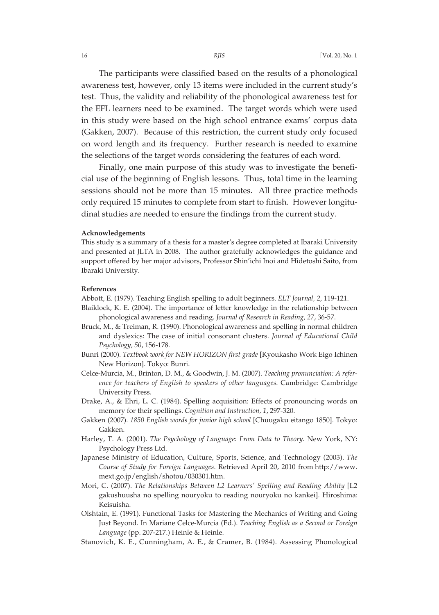The participants were classified based on the results of a phonological awareness test, however, only 13 items were included in the current study's test. Thus, the validity and reliability of the phonological awareness test for the EFL learners need to be examined. The target words which were used in this study were based on the high school entrance exams' corpus data (Gakken, 2007). Because of this restriction, the current study only focused on word length and its frequency. Further research is needed to examine the selections of the target words considering the features of each word.

Finally, one main purpose of this study was to investigate the beneficial use of the beginning of English lessons. Thus, total time in the learning sessions should not be more than 15 minutes. All three practice methods only required 15 minutes to complete from start to finish. However longitudinal studies are needed to ensure the findings from the current study.

#### **Acknowledgements**

This study is a summary of a thesis for a master's degree completed at Ibaraki University and presented at JLTA in 2008. The author gratefully acknowledges the guidance and support offered by her major advisors, Professor Shin'ichi Inoi and Hidetoshi Saito, from Ibaraki University.

#### **References**

- Abbott, E. (1979). Teaching English spelling to adult beginners. *ELT Journal, 2*, 119-121.
- Blaiklock, K. E. (2004). The importance of letter knowledge in the relationship between phonological awareness and reading. *Journal of Research in Reading, 27*, 36-57.
- Bruck, M., & Treiman, R. (1990). Phonological awareness and spelling in normal children and dyslexics: The case of initial consonant clusters. *Journal of Educational Child Psychology, 50*, 156-178.
- Bunri (2000). *Textbook work for NEW HORIZON first grade* [Kyoukasho Work Eigo Ichinen New Horizon]. Tokyo: Bunri.
- Celce-Murcia, M., Brinton, D. M., & Goodwin, J. M. (2007). *Teaching pronunciation: A reference for teachers of English to speakers of other languages*. Cambridge: Cambridge University Press.
- Drake, A., & Ehri, L. C. (1984). Spelling acquisition: Effects of pronouncing words on memory for their spellings. *Cognition and Instruction, 1*, 297-320.
- Gakken (2007). *1850 English words for junior high school* [Chuugaku eitango 1850]. Tokyo: Gakken.
- Harley, T. A. (2001). *The Psychology of Language: From Data to Theory*. New York, NY: Psychology Press Ltd.
- Japanese Ministry of Education, Culture, Sports, Science, and Technology (2003). *The Course of Study for Foreign Languages*. Retrieved April 20, 2010 from http://www. mext.go.jp/english/shotou/030301.htm.
- Mori, C. (2007). *The Relationships Between L2 Learners' Spelling and Reading Ability* [L2 gakushuusha no spelling nouryoku to reading nouryoku no kankei]. Hiroshima: Keisuisha.
- Olshtain, E. (1991). Functional Tasks for Mastering the Mechanics of Writing and Going Just Beyond. In Mariane Celce-Murcia (Ed.). *Teaching English as a Second or Foreign Language* (pp. 207-217.) Heinle & Heinle.
- Stanovich, K. E., Cunningham, A. E., & Cramer, B. (1984). Assessing Phonological